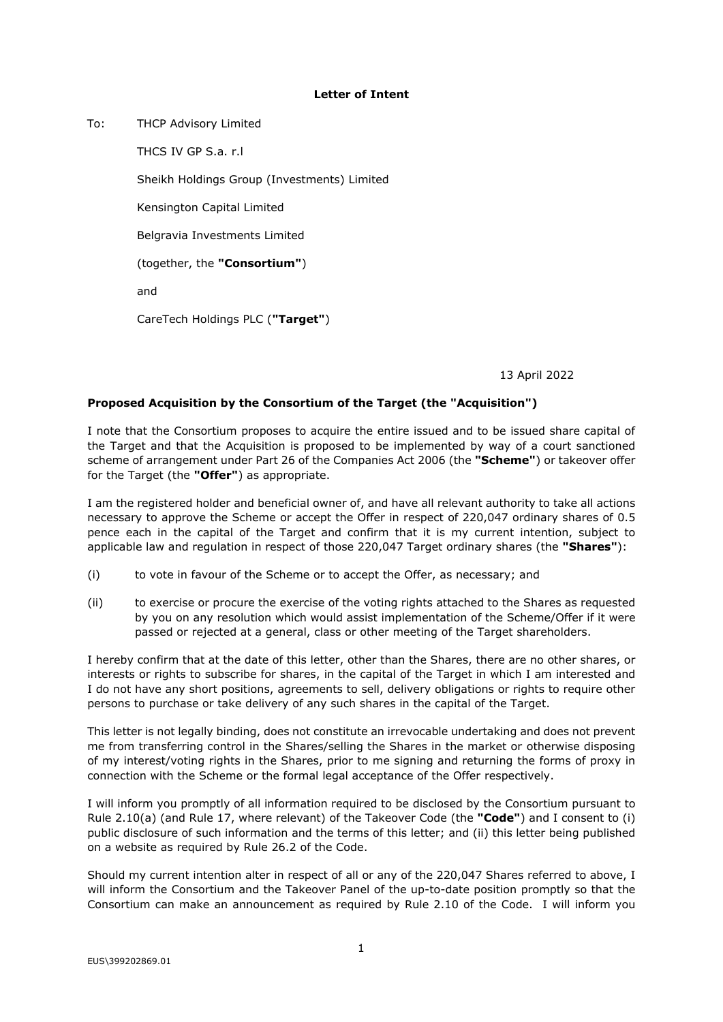## **Letter of Intent**

To: THCP Advisory Limited

THCS IV GP S.a. r.l

Sheikh Holdings Group (Investments) Limited

Kensington Capital Limited

Belgravia Investments Limited

(together, the **"Consortium"**)

and

CareTech Holdings PLC (**"Target"**)

13 April 2022

## **Proposed Acquisition by the Consortium of the Target (the "Acquisition")**

I note that the Consortium proposes to acquire the entire issued and to be issued share capital of the Target and that the Acquisition is proposed to be implemented by way of a court sanctioned scheme of arrangement under Part 26 of the Companies Act 2006 (the **"Scheme"**) or takeover offer for the Target (the **"Offer"**) as appropriate.

I am the registered holder and beneficial owner of, and have all relevant authority to take all actions necessary to approve the Scheme or accept the Offer in respect of 220,047 ordinary shares of 0.5 pence each in the capital of the Target and confirm that it is my current intention, subject to applicable law and regulation in respect of those 220,047 Target ordinary shares (the **"Shares"**):

- (i) to vote in favour of the Scheme or to accept the Offer, as necessary; and
- (ii) to exercise or procure the exercise of the voting rights attached to the Shares as requested by you on any resolution which would assist implementation of the Scheme/Offer if it were passed or rejected at a general, class or other meeting of the Target shareholders.

I hereby confirm that at the date of this letter, other than the Shares, there are no other shares, or interests or rights to subscribe for shares, in the capital of the Target in which I am interested and I do not have any short positions, agreements to sell, delivery obligations or rights to require other persons to purchase or take delivery of any such shares in the capital of the Target.

This letter is not legally binding, does not constitute an irrevocable undertaking and does not prevent me from transferring control in the Shares/selling the Shares in the market or otherwise disposing of my interest/voting rights in the Shares, prior to me signing and returning the forms of proxy in connection with the Scheme or the formal legal acceptance of the Offer respectively.

I will inform you promptly of all information required to be disclosed by the Consortium pursuant to Rule 2.10(a) (and Rule 17, where relevant) of the Takeover Code (the **"Code"**) and I consent to (i) public disclosure of such information and the terms of this letter; and (ii) this letter being published on a website as required by Rule 26.2 of the Code.

Should my current intention alter in respect of all or any of the 220,047 Shares referred to above, I will inform the Consortium and the Takeover Panel of the up-to-date position promptly so that the Consortium can make an announcement as required by Rule 2.10 of the Code. I will inform you